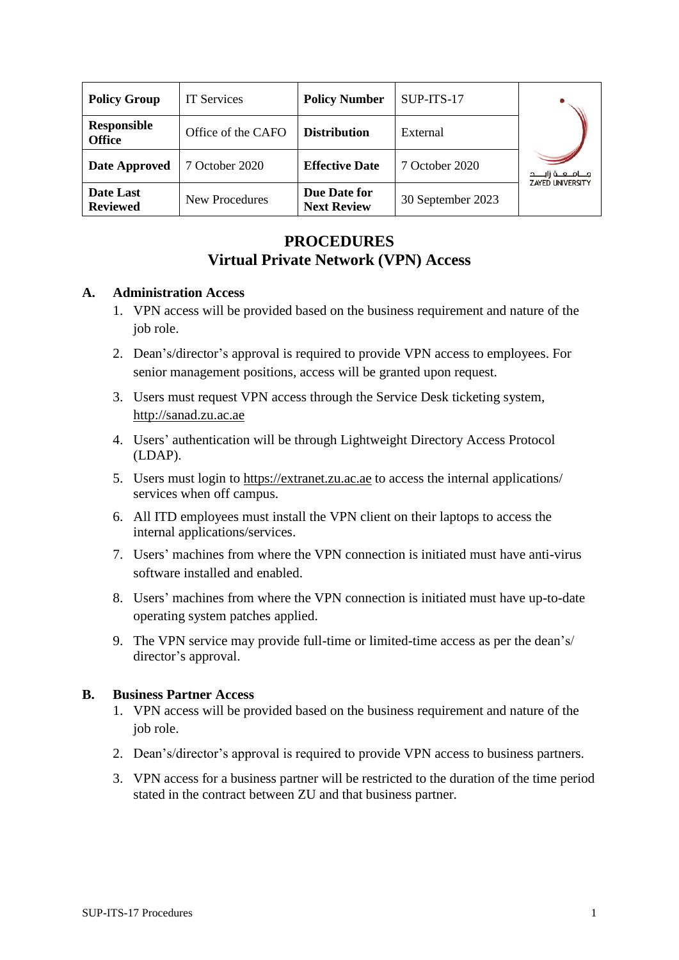| <b>Policy Group</b>                 | <b>IT Services</b>    | <b>Policy Number</b>               | SUP-ITS-17        |                                                  |
|-------------------------------------|-----------------------|------------------------------------|-------------------|--------------------------------------------------|
| <b>Responsible</b><br><b>Office</b> | Office of the CAFO    | <b>Distribution</b>                | External          |                                                  |
| <b>Date Approved</b>                | 7 October 2020        | <b>Effective Date</b>              | 7 October 2020    | مـــامــــه زايـــــد<br><b>ZAYED UNIVERSITY</b> |
| Date Last<br><b>Reviewed</b>        | <b>New Procedures</b> | Due Date for<br><b>Next Review</b> | 30 September 2023 |                                                  |

## **PROCEDURES Virtual Private Network (VPN) Access**

## **A. Administration Access**

- 1. VPN access will be provided based on the business requirement and nature of the job role.
- 2. Dean's/director's approval is required to provide VPN access to employees. For senior management positions, access will be granted upon request.
- 3. Users must request VPN access through the Service Desk ticketing system, http://sanad.zu.ac.ae
- 4. Users' authentication will be through Lightweight Directory Access Protocol (LDAP).
- 5. Users must login to https://extranet.zu.ac.ae to access the internal applications/ services when off campus.
- 6. All ITD employees must install the VPN client on their laptops to access the internal applications/services.
- 7. Users' machines from where the VPN connection is initiated must have anti-virus software installed and enabled.
- 8. Users' machines from where the VPN connection is initiated must have up-to-date operating system patches applied.
- 9. The VPN service may provide full-time or limited-time access as per the dean's/ director's approval.

## **B. Business Partner Access**

- 1. VPN access will be provided based on the business requirement and nature of the job role.
- 2. Dean's/director's approval is required to provide VPN access to business partners.
- 3. VPN access for a business partner will be restricted to the duration of the time period stated in the contract between ZU and that business partner.